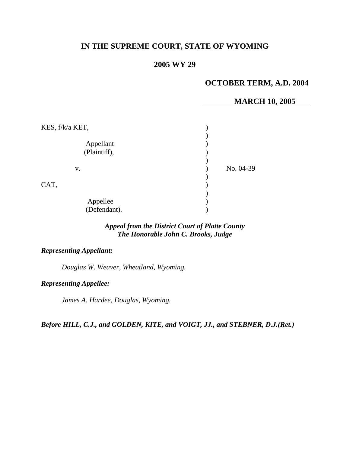# **IN THE SUPREME COURT, STATE OF WYOMING**

## **2005 WY 29**

## **OCTOBER TERM, A.D. 2004**

### **MARCH 10, 2005**

| KES, f/k/a KET,           |           |
|---------------------------|-----------|
| Appellant<br>(Plaintiff), |           |
| V.                        | No. 04-39 |
| CAT,                      |           |
| Appellee<br>(Defendant).  |           |

### *Appeal from the District Court of Platte County The Honorable John C. Brooks, Judge*

### *Representing Appellant:*

*Douglas W. Weaver, Wheatland, Wyoming.* 

### *Representing Appellee:*

*James A. Hardee, Douglas, Wyoming.* 

*Before HILL, C.J., and GOLDEN, KITE, and VOIGT, JJ., and STEBNER, D.J.(Ret.)*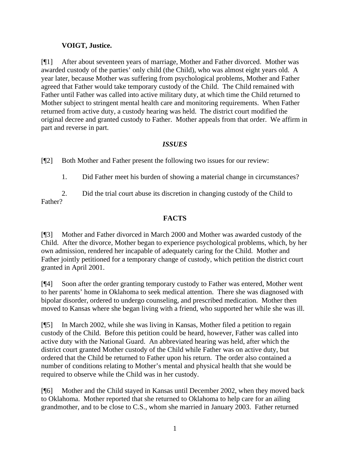## **VOIGT, Justice.**

[¶1] After about seventeen years of marriage, Mother and Father divorced. Mother was awarded custody of the parties' only child (the Child), who was almost eight years old. A year later, because Mother was suffering from psychological problems, Mother and Father agreed that Father would take temporary custody of the Child. The Child remained with Father until Father was called into active military duty, at which time the Child returned to Mother subject to stringent mental health care and monitoring requirements. When Father returned from active duty, a custody hearing was held. The district court modified the original decree and granted custody to Father. Mother appeals from that order. We affirm in part and reverse in part.

## *ISSUES*

[¶2] Both Mother and Father present the following two issues for our review:

1. Did Father meet his burden of showing a material change in circumstances?

2. Did the trial court abuse its discretion in changing custody of the Child to Father?

## **FACTS**

[¶3] Mother and Father divorced in March 2000 and Mother was awarded custody of the Child. After the divorce, Mother began to experience psychological problems, which, by her own admission, rendered her incapable of adequately caring for the Child. Mother and Father jointly petitioned for a temporary change of custody, which petition the district court granted in April 2001.

[¶4] Soon after the order granting temporary custody to Father was entered, Mother went to her parents' home in Oklahoma to seek medical attention. There she was diagnosed with bipolar disorder, ordered to undergo counseling, and prescribed medication. Mother then moved to Kansas where she began living with a friend, who supported her while she was ill.

[¶5] In March 2002, while she was living in Kansas, Mother filed a petition to regain custody of the Child. Before this petition could be heard, however, Father was called into active duty with the National Guard. An abbreviated hearing was held, after which the district court granted Mother custody of the Child while Father was on active duty, but ordered that the Child be returned to Father upon his return. The order also contained a number of conditions relating to Mother's mental and physical health that she would be required to observe while the Child was in her custody.

[¶6] Mother and the Child stayed in Kansas until December 2002, when they moved back to Oklahoma. Mother reported that she returned to Oklahoma to help care for an ailing grandmother, and to be close to C.S., whom she married in January 2003. Father returned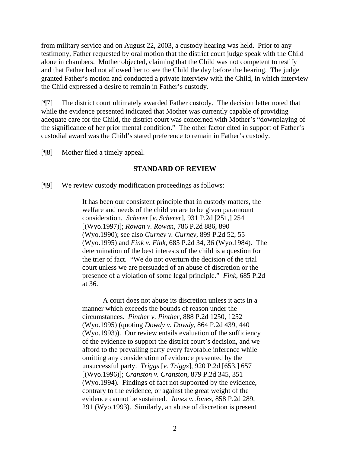from military service and on August 22, 2003, a custody hearing was held. Prior to any testimony, Father requested by oral motion that the district court judge speak with the Child alone in chambers. Mother objected, claiming that the Child was not competent to testify and that Father had not allowed her to see the Child the day before the hearing. The judge granted Father's motion and conducted a private interview with the Child, in which interview the Child expressed a desire to remain in Father's custody.

[¶7] The district court ultimately awarded Father custody. The decision letter noted that while the evidence presented indicated that Mother was currently capable of providing adequate care for the Child, the district court was concerned with Mother's "downplaying of the significance of her prior mental condition." The other factor cited in support of Father's custodial award was the Child's stated preference to remain in Father's custody.

[¶8] Mother filed a timely appeal.

#### **STANDARD OF REVIEW**

[¶9] We review custody modification proceedings as follows:

It has been our consistent principle that in custody matters, the welfare and needs of the children are to be given paramount consideration. *Scherer* [*v. Scherer*], 931 P.2d [251,] 254 [(Wyo.1997)]; *Rowan v. Rowan*, 786 P.2d 886, 890 (Wyo.1990); see also *Gurney v. Gurney*, 899 P.2d 52, 55 (Wyo.1995) and *Fink v. Fink*, 685 P.2d 34, 36 (Wyo.1984). The determination of the best interests of the child is a question for the trier of fact. "We do not overturn the decision of the trial court unless we are persuaded of an abuse of discretion or the presence of a violation of some legal principle." *Fink*, 685 P.2d at 36.

A court does not abuse its discretion unless it acts in a manner which exceeds the bounds of reason under the circumstances. *Pinther v. Pinther*, 888 P.2d 1250, 1252 (Wyo.1995) (quoting *Dowdy v. Dowdy*, 864 P.2d 439, 440 (Wyo.1993)). Our review entails evaluation of the sufficiency of the evidence to support the district court's decision, and we afford to the prevailing party every favorable inference while omitting any consideration of evidence presented by the unsuccessful party. *Triggs* [*v. Triggs*], 920 P.2d [653,] 657 [(Wyo.1996)]; *Cranston v. Cranston*, 879 P.2d 345, 351 (Wyo.1994). Findings of fact not supported by the evidence, contrary to the evidence, or against the great weight of the evidence cannot be sustained. *Jones v. Jones*, 858 P.2d 289, 291 (Wyo.1993). Similarly, an abuse of discretion is present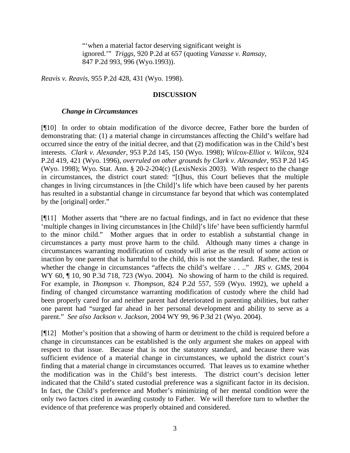"'when a material factor deserving significant weight is ignored.'" *Triggs*, 920 P.2d at 657 (quoting *Vanasse v. Ramsay*, 847 P.2d 993, 996 (Wyo.1993)).

*Reavis v. Reavis*, 955 P.2d 428, 431 (Wyo. 1998).

### **DISCUSSION**

#### *Change in Circumstances*

[¶10] In order to obtain modification of the divorce decree, Father bore the burden of demonstrating that: (1) a material change in circumstances affecting the Child's welfare had occurred since the entry of the initial decree, and that (2) modification was in the Child's best interests. *Clark v. Alexander,* 953 P.2d 145, 150 (Wyo. 1998); *Wilcox-Elliot v. Wilcox,* 924 P.2d 419, 421 (Wyo. 1996), *overruled on other grounds by Clark v. Alexander*, 953 P.2d 145 (Wyo. 1998); Wyo. Stat. Ann. § 20-2-204(c) (LexisNexis 2003). With respect to the change in circumstances, the district court stated: "[t]hus, this Court believes that the multiple changes in living circumstances in [the Child]'s life which have been caused by her parents has resulted in a substantial change in circumstance far beyond that which was contemplated by the [original] order."

[¶11] Mother asserts that "there are no factual findings, and in fact no evidence that these 'multiple changes in living circumstances in [the Child]'s life' have been sufficiently harmful to the minor child." Mother argues that in order to establish a substantial change in circumstances a party must prove harm to the child. Although many times a change in circumstances warranting modification of custody will arise as the result of some action or inaction by one parent that is harmful to the child, this is not the standard. Rather, the test is whether the change in circumstances "affects the child's welfare . . .." *JRS v. GMS,* 2004 WY 60, ¶ 10, 90 P.3d 718, 723 (Wyo. 2004). No showing of harm to the child is required. For example, in *Thompson v. Thompson,* 824 P.2d 557, 559 (Wyo. 1992), we upheld a finding of changed circumstance warranting modification of custody where the child had been properly cared for and neither parent had deteriorated in parenting abilities, but rather one parent had "surged far ahead in her personal development and ability to serve as a parent." *See also Jackson v. Jackson,* 2004 WY 99, 96 P.3d 21 (Wyo. 2004).

[¶12] Mother's position that a showing of harm or detriment to the child is required before a change in circumstances can be established is the only argument she makes on appeal with respect to that issue. Because that is not the statutory standard, and because there was sufficient evidence of a material change in circumstances, we uphold the district court's finding that a material change in circumstances occurred. That leaves us to examine whether the modification was in the Child's best interests. The district court's decision letter indicated that the Child's stated custodial preference was a significant factor in its decision. In fact, the Child's preference and Mother's minimizing of her mental condition were the only two factors cited in awarding custody to Father. We will therefore turn to whether the evidence of that preference was properly obtained and considered.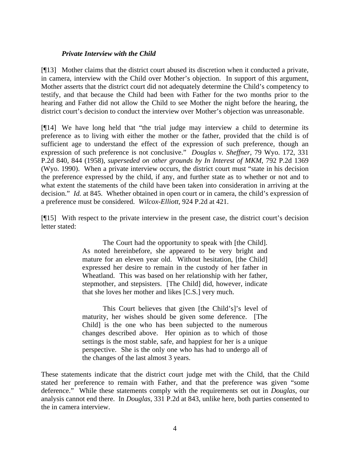#### *Private Interview with the Child*

[¶13] Mother claims that the district court abused its discretion when it conducted a private, in camera, interview with the Child over Mother's objection. In support of this argument, Mother asserts that the district court did not adequately determine the Child's competency to testify, and that because the Child had been with Father for the two months prior to the hearing and Father did not allow the Child to see Mother the night before the hearing, the district court's decision to conduct the interview over Mother's objection was unreasonable.

[¶14] We have long held that "the trial judge may interview a child to determine its preference as to living with either the mother or the father, provided that the child is of sufficient age to understand the effect of the expression of such preference, though an expression of such preference is not conclusive." *Douglas v. Sheffner,* 79 Wyo. 172, 331 P.2d 840, 844 (1958), *superseded on other grounds by In Interest of MKM*, 792 P.2d 1369 (Wyo. 1990). When a private interview occurs, the district court must "state in his decision the preference expressed by the child, if any, and further state as to whether or not and to what extent the statements of the child have been taken into consideration in arriving at the decision." *Id.* at 845. Whether obtained in open court or in camera, the child's expression of a preference must be considered. *Wilcox-Elliott,* 924 P.2d at 421.

[¶15] With respect to the private interview in the present case, the district court's decision letter stated:

> The Court had the opportunity to speak with [the Child]. As noted hereinbefore, she appeared to be very bright and mature for an eleven year old. Without hesitation, [the Child] expressed her desire to remain in the custody of her father in Wheatland. This was based on her relationship with her father, stepmother, and stepsisters. [The Child] did, however, indicate that she loves her mother and likes [C.S.] very much.

> This Court believes that given [the Child's]'s level of maturity, her wishes should be given some deference. [The Child] is the one who has been subjected to the numerous changes described above. Her opinion as to which of those settings is the most stable, safe, and happiest for her is a unique perspective. She is the only one who has had to undergo all of the changes of the last almost 3 years.

These statements indicate that the district court judge met with the Child, that the Child stated her preference to remain with Father, and that the preference was given "some deference." While these statements comply with the requirements set out in *Douglas*, our analysis cannot end there. In *Douglas,* 331 P.2d at 843, unlike here, both parties consented to the in camera interview.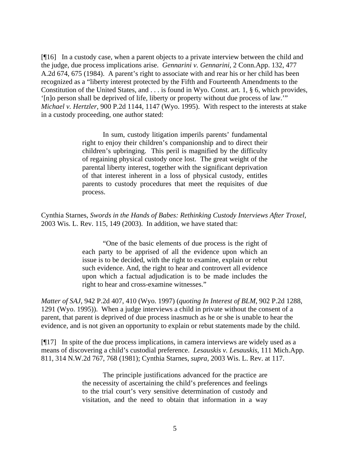[¶16] In a custody case, when a parent objects to a private interview between the child and the judge, due process implications arise. *Gennarini v. Gennarini,* 2 Conn.App. 132, 477 A.2d 674, 675 (1984). A parent's right to associate with and rear his or her child has been recognized as a "liberty interest protected by the Fifth and Fourteenth Amendments to the Constitution of the United States, and . . . is found in Wyo. Const. art. 1, § 6, which provides, '[n]o person shall be deprived of life, liberty or property without due process of law.'" *Michael v. Hertzler,* 900 P.2d 1144, 1147 (Wyo. 1995). With respect to the interests at stake in a custody proceeding, one author stated:

> In sum, custody litigation imperils parents' fundamental right to enjoy their children's companionship and to direct their children's upbringing. This peril is magnified by the difficulty of regaining physical custody once lost. The great weight of the parental liberty interest, together with the significant deprivation of that interest inherent in a loss of physical custody, entitles parents to custody procedures that meet the requisites of due process.

Cynthia Starnes, *Swords in the Hands of Babes: Rethinking Custody Interviews After Troxel,*  2003 Wis. L. Rev. 115, 149 (2003). In addition, we have stated that:

> "One of the basic elements of due process is the right of each party to be apprised of all the evidence upon which an issue is to be decided, with the right to examine, explain or rebut such evidence. And, the right to hear and controvert all evidence upon which a factual adjudication is to be made includes the right to hear and cross-examine witnesses."

*Matter of SAJ,* 942 P.2d 407, 410 (Wyo. 1997) (*quoting In Interest of BLM*, 902 P.2d 1288, 1291 (Wyo. 1995)). When a judge interviews a child in private without the consent of a parent, that parent is deprived of due process inasmuch as he or she is unable to hear the evidence, and is not given an opportunity to explain or rebut statements made by the child.

[¶17] In spite of the due process implications, in camera interviews are widely used as a means of discovering a child's custodial preference. *Lesauskis v. Lesauskis,* 111 Mich.App. 811, 314 N.W.2d 767, 768 (1981); Cynthia Starnes, *supra,* 2003 Wis. L. Rev. at 117.

> The principle justifications advanced for the practice are the necessity of ascertaining the child's preferences and feelings to the trial court's very sensitive determination of custody and visitation, and the need to obtain that information in a way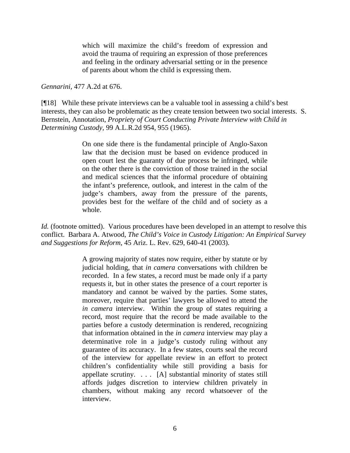which will maximize the child's freedom of expression and avoid the trauma of requiring an expression of those preferences and feeling in the ordinary adversarial setting or in the presence of parents about whom the child is expressing them.

#### *Gennarini,* 477 A.2d at 676.

[¶18] While these private interviews can be a valuable tool in assessing a child's best interests, they can also be problematic as they create tension between two social interests. S. Bernstein, Annotation, *Propriety of Court Conducting Private Interview with Child in Determining Custody,* 99 A.L.R.2d 954, 955 (1965).

> On one side there is the fundamental principle of Anglo-Saxon law that the decision must be based on evidence produced in open court lest the guaranty of due process be infringed, while on the other there is the conviction of those trained in the social and medical sciences that the informal procedure of obtaining the infant's preference, outlook, and interest in the calm of the judge's chambers, away from the pressure of the parents, provides best for the welfare of the child and of society as a whole.

*Id.* (footnote omitted). Various procedures have been developed in an attempt to resolve this conflict. Barbara A. Atwood, *The Child's Voice in Custody Litigation: An Empirical Survey and Suggestions for Reform,* 45 Ariz. L. Rev. 629, 640-41 (2003).

> A growing majority of states now require, either by statute or by judicial holding, that *in camera* conversations with children be recorded. In a few states, a record must be made only if a party requests it, but in other states the presence of a court reporter is mandatory and cannot be waived by the parties. Some states, moreover, require that parties' lawyers be allowed to attend the *in camera* interview. Within the group of states requiring a record, most require that the record be made available to the parties before a custody determination is rendered, recognizing that information obtained in the *in camera* interview may play a determinative role in a judge's custody ruling without any guarantee of its accuracy. In a few states, courts seal the record of the interview for appellate review in an effort to protect children's confidentiality while still providing a basis for appellate scrutiny. . . . [A] substantial minority of states still affords judges discretion to interview children privately in chambers, without making any record whatsoever of the interview.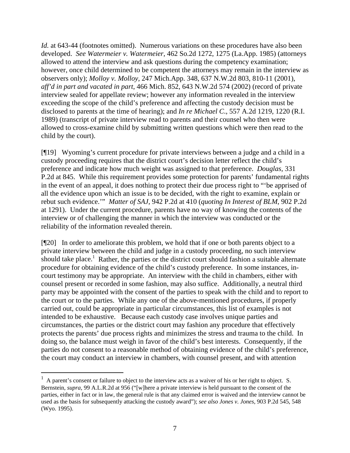*Id.* at 643-44 (footnotes omitted). Numerous variations on these procedures have also been developed. *See Watermeier v. Watermeier,* 462 So.2d 1272, 1275 (La.App. 1985) (attorneys allowed to attend the interview and ask questions during the competency examination; however, once child determined to be competent the attorneys may remain in the interview as observers only); *Molloy v. Molloy,* 247 Mich.App. 348, 637 N.W.2d 803, 810-11 (2001), *aff'd in part and vacated in part*, 466 Mich. 852, 643 N.W.2d 574 (2002) (record of private interview sealed for appellate review; however any information revealed in the interview exceeding the scope of the child's preference and affecting the custody decision must be disclosed to parents at the time of hearing); and *In re Michael C*., 557 A.2d 1219, 1220 (R.I. 1989) (transcript of private interview read to parents and their counsel who then were allowed to cross-examine child by submitting written questions which were then read to the child by the court).

[¶19] Wyoming's current procedure for private interviews between a judge and a child in a custody proceeding requires that the district court's decision letter reflect the child's preference and indicate how much weight was assigned to that preference. *Douglas,* 331 P.2d at 845. While this requirement provides some protection for parents' fundamental rights in the event of an appeal, it does nothing to protect their due process right to "'be apprised of all the evidence upon which an issue is to be decided, with the right to examine, explain or rebut such evidence.'" *Matter of SAJ,* 942 P.2d at 410 (*quoting In Interest of BLM*, 902 P.2d at 1291). Under the current procedure, parents have no way of knowing the contents of the interview or of challenging the manner in which the interview was conducted or the reliability of the information revealed therein.

[¶20] In order to ameliorate this problem, we hold that if one or both parents object to a private interview between the child and judge in a custody proceeding, no such interview should take place.<sup>[1](#page-7-0)</sup> Rather, the parties or the district court should fashion a suitable alternate procedure for obtaining evidence of the child's custody preference. In some instances, incourt testimony may be appropriate. An interview with the child in chambers, either with counsel present or recorded in some fashion, may also suffice. Additionally, a neutral third party may be appointed with the consent of the parties to speak with the child and to report to the court or to the parties. While any one of the above-mentioned procedures, if properly carried out, could be appropriate in particular circumstances, this list of examples is not intended to be exhaustive. Because each custody case involves unique parties and circumstances, the parties or the district court may fashion any procedure that effectively protects the parents' due process rights and minimizes the stress and trauma to the child. In doing so, the balance must weigh in favor of the child's best interests. Consequently, if the parties do not consent to a reasonable method of obtaining evidence of the child's preference, the court may conduct an interview in chambers, with counsel present, and with attention

 $\overline{a}$ 

<span id="page-7-0"></span> $<sup>1</sup>$  A parent's consent or failure to object to the interview acts as a waiver of his or her right to object. S.</sup> Bernstein, *supra*, 99 A.L.R.2d at 956 ("[w]here a private interview is held pursuant to the consent of the parties, either in fact or in law, the general rule is that any claimed error is waived and the interview cannot be used as the basis for subsequently attacking the custody award"); *see also Jones v. Jones*, 903 P.2d 545, 548 (Wyo. 1995).